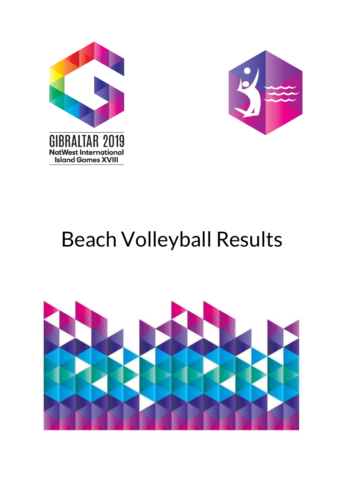



# Beach Volleyball Results

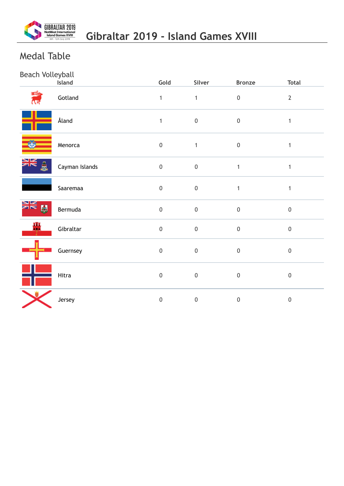

# Medal Table

# Beach Volleyball

|              | Island         | Gold             | Silver           | <b>Bronze</b>    | <b>Total</b>     |
|--------------|----------------|------------------|------------------|------------------|------------------|
|              | Gotland        | $\mathbf{1}$     | $\mathbf{1}$     | $\boldsymbol{0}$ | $\overline{2}$   |
|              | Åland          | $\mathbf{1}$     | $\boldsymbol{0}$ | $\boldsymbol{0}$ | $\mathbf{1}$     |
|              | Menorca        | $\mathbf 0$      | $\mathbf{1}$     | $\mathbf 0$      | $\mathbf{1}$     |
| ≱≼<br>Å      | Cayman Islands | $\mathbf 0$      | $\boldsymbol{0}$ | $\mathbf{1}$     | $\mathbf{1}$     |
|              | Saaremaa       | $\boldsymbol{0}$ | $\pmb{0}$        | $\mathbf{1}$     | $\mathbf{1}$     |
| ≫k<br>X<br>鬭 | Bermuda        | $\boldsymbol{0}$ | $\boldsymbol{0}$ | $\boldsymbol{0}$ | $\pmb{0}$        |
| 晋            | Gibraltar      | $\boldsymbol{0}$ | $\mathbf 0$      | $\mathbf 0$      | $\boldsymbol{0}$ |
|              | Guernsey       | $\mathbf 0$      | $\mathbf 0$      | $\boldsymbol{0}$ | $\boldsymbol{0}$ |
|              | Hitra          | $\mathbf 0$      | $\boldsymbol{0}$ | $\boldsymbol{0}$ | $\boldsymbol{0}$ |
|              | Jersey         | $\mathbf 0$      | $\boldsymbol{0}$ | $\mathbf 0$      | $\boldsymbol{0}$ |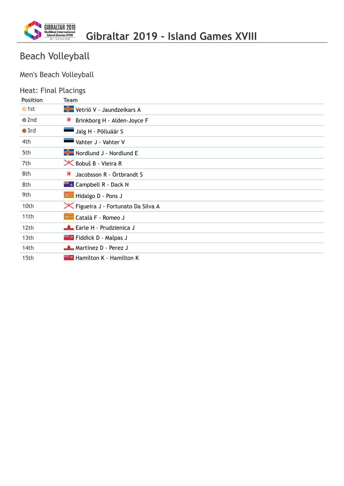

# Beach Volleyball

# Men's Beach Volleyball

### Heat: Final Placings

| <b>Position</b> | <b>Team</b>                                |
|-----------------|--------------------------------------------|
| $\bullet$ 1st   | Vetriö V - Jaundzeikars A                  |
| $\bullet$ 2nd   | ₹<br>Brinkborg H - Alden-Joyce F           |
| $\bullet$ 3rd   | Jalg H - Põlluäär S                        |
| 4th             | Vahter J - Vahter V                        |
| 5th             | Nordlund J - Nordlund E                    |
| 7th             | <b>X</b> Bobuš B - Vieira R                |
| 8th             | ₹₹<br>Jacobsson R - Örtbrandt S            |
| 8th             | $\mathbb{H}$ Campbell R - Dack N           |
| 9th             | Hidalgo D - Pons J                         |
| 10th            | <b>X</b> Figueira J - Fortunato Da Silva A |
| 11th            | Català F - Romeo J                         |
| 12th            | <b>Earle H - Prudzienica J</b>             |
| 13th            | <b>Example 1</b> Fiddick D - Malpas J      |
| 14th            | Martinez D - Perez J                       |
| 15th            |                                            |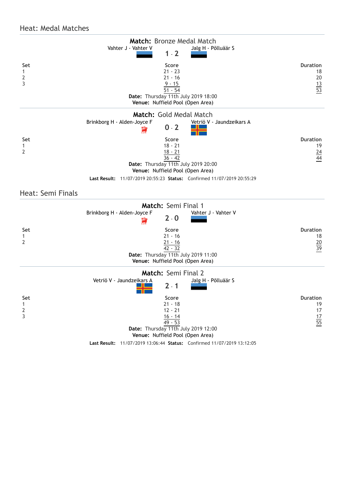#### Heat: Medal Matches

|                     | Match: Bronze Medal Match                                              |                 |
|---------------------|------------------------------------------------------------------------|-----------------|
|                     | Vahter J - Vahter V<br>Jalg H - Põlluäär S<br>$1 - 2$                  |                 |
|                     |                                                                        |                 |
| Set                 | Score                                                                  | <b>Duration</b> |
| 1                   | $21 - 23$                                                              | 18              |
| $\overline{2}$<br>3 | $21 - 16$                                                              | 20              |
|                     | $\frac{9 - 15}{51 - 54}$                                               | $\frac{13}{53}$ |
|                     | Date: Thursday 11th July 2019 18:00                                    |                 |
|                     | Venue: Nuffield Pool (Open Area)                                       |                 |
|                     | Match: Gold Medal Match                                                |                 |
|                     | Brinkborg H - Alden-Joyce F<br>Vetriö V - Jaundzeikars A               |                 |
|                     | $0 - 2$                                                                |                 |
| Set                 | Score                                                                  | <b>Duration</b> |
| 1                   | $18 - 21$                                                              | 19              |
| $\overline{2}$      | $\frac{18 - 21}{36 - 42}$                                              | $\frac{24}{44}$ |
|                     | Date: Thursday 11th July 2019 20:00                                    |                 |
|                     | Venue: Nuffield Pool (Open Area)                                       |                 |
|                     | Last Result: 11/07/2019 20:55:23 Status: Confirmed 11/07/2019 20:55:29 |                 |
|                     |                                                                        |                 |
| Heat: Semi Finals   |                                                                        |                 |
|                     | Match: Semi Final 1                                                    |                 |
|                     | Vahter J - Vahter V<br>Brinkborg H - Alden-Joyce F                     |                 |
|                     | $2 - 0$                                                                |                 |
| Set                 | Score                                                                  | <b>Duration</b> |
| 1                   | $21 - 16$                                                              | 18              |
| $\overline{2}$      | $\frac{21 - 16}{42 - 32}$                                              | $\frac{20}{39}$ |
|                     | Date: Thursday 11th July 2019 11:00                                    |                 |
|                     | Venue: Nuffield Pool (Open Area)                                       |                 |
|                     | Match: Semi Final 2                                                    |                 |
|                     | Vetriö V - Jaundzeikars A<br>Jalg H - Põlluäär S                       |                 |
|                     | $2 - 1$                                                                |                 |
| Set                 | Score                                                                  | Duration        |
| 1                   | $21 - 18$                                                              | 19              |
| $\overline{2}$<br>3 | $12 - 21$<br>$16 - 14$                                                 | 17              |
|                     | $49 - 53$                                                              | $\frac{17}{55}$ |
|                     | Date: Thursday 11th July 2019 12:00                                    |                 |
|                     | Venue: Nuffield Pool (Open Area)                                       |                 |
|                     | Last Result: 11/07/2019 13:06:44 Status: Confirmed 11/07/2019 13:12:05 |                 |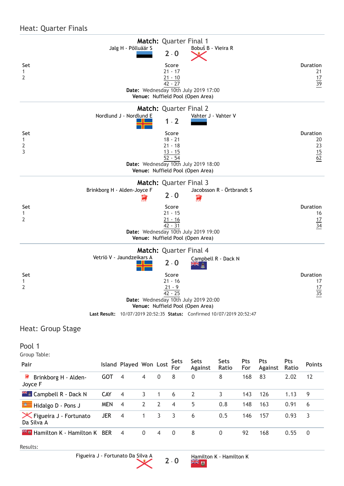#### Heat: Quarter Finals

|                          | Match: Quarter Final 1                                                   |                       |
|--------------------------|--------------------------------------------------------------------------|-----------------------|
|                          | Jalg H - Põlluäär S<br>Bobuš B - Vieira R<br>$2 - 0$                     |                       |
|                          |                                                                          |                       |
| Set<br>$\mathbf{1}$      | Score<br>$21 - 17$                                                       | <b>Duration</b><br>21 |
| $\overline{2}$           | $21 - 10$                                                                | 17                    |
|                          | $42 - 27$                                                                | $\overline{39}$       |
|                          | Date: Wednesday 10th July 2019 17:00<br>Venue: Nuffield Pool (Open Area) |                       |
|                          | <b>Match: Quarter Final 2</b>                                            |                       |
|                          | Nordlund J - Nordlund E<br>Vahter J - Vahter V                           |                       |
|                          | $1 - 2$                                                                  |                       |
| Set                      | Score                                                                    | <b>Duration</b>       |
| $\mathbf{1}$             | $18 - 21$                                                                | 20<br>23              |
| $\overline{2}$<br>3      | $21 - 18$<br>$13 - 15$                                                   |                       |
|                          | $\overline{52 - 54}$                                                     | $\frac{15}{62}$       |
|                          | Date: Wednesday 10th July 2019 18:00                                     |                       |
|                          | Venue: Nuffield Pool (Open Area)                                         |                       |
|                          | Match: Quarter Final 3                                                   |                       |
|                          | Jacobsson R - Örtbrandt S<br>Brinkborg H - Alden-Joyce F<br>$2 - 0$      |                       |
|                          | 濤                                                                        |                       |
| Set                      | Score                                                                    | <b>Duration</b>       |
| 1<br>$\overline{2}$      | $21 - 15$<br>$21 - 16$                                                   | 16                    |
|                          | $42 - 31$                                                                | $\frac{17}{34}$       |
|                          | Date: Wednesday 10th July 2019 19:00                                     |                       |
|                          | Venue: Nuffield Pool (Open Area)                                         |                       |
|                          | Match: Quarter Final 4                                                   |                       |
|                          | Vetriö V - Jaundzeikars A<br>Campbell R - Dack N<br>$2 - 0$              |                       |
| Set                      | Score                                                                    | <b>Duration</b>       |
| 1<br>$\overline{2}$      | $21 - 16$                                                                | 17                    |
|                          | $21 - 9$<br>$42 - 25$                                                    | 17<br>35              |
|                          | Date: Wednesday 10th July 2019 20:00                                     |                       |
|                          | Venue: Nuffield Pool (Open Area)                                         |                       |
|                          | Last Result: 10/07/2019 20:52:35 Status: Confirmed 10/07/2019 20:52:47   |                       |
| <b>Heat: Group Stage</b> |                                                                          |                       |

Pool 1

Group Table:

| Pair                                                   |            | <b>Island Played Won Lost</b> |                |             | <b>Sets</b><br>For | <b>Sets</b><br><b>Against</b> | <b>Sets</b><br>Ratio | <b>Pts</b><br>For | <b>Pts</b><br><b>Against</b> | <b>Pts</b><br><b>Ratio</b> | <b>Points</b> |
|--------------------------------------------------------|------------|-------------------------------|----------------|-------------|--------------------|-------------------------------|----------------------|-------------------|------------------------------|----------------------------|---------------|
| 薄<br>Brinkborg H - Alden-<br>Joyce F                   | GOT        | 4                             | $\overline{4}$ | $\mathbf 0$ | 8                  | 0                             | 8                    | 168               | 83                           | 2.02                       | 12            |
| <b>Example R</b> - Dack N                              | <b>CAY</b> | $\overline{4}$                | 3              | 1           | 6                  | $\overline{2}$                |                      | 143               | 126                          | 1.13                       | 9             |
| Hidalgo D - Pons J                                     | <b>MEN</b> | 4                             | 2              | 2           | $\overline{4}$     | 5                             | 0.8                  | 148               | 163                          | 0.91                       | 6             |
| $\mathsf{\times}$ Figueira J - Fortunato<br>Da Silva A | <b>JER</b> | $\overline{4}$                | 1              | 3.          | 3                  | 6                             | 0.5                  | 146               | 157                          | 0.93                       | 3             |
| <b>Example 20 Hamilton K</b> BER                       |            | $\overline{4}$                | $\mathbf{0}$   | 4           | $\mathbf{0}$       | 8                             | 0                    | 92                | 168                          | 0.55                       | $\mathbf{0}$  |

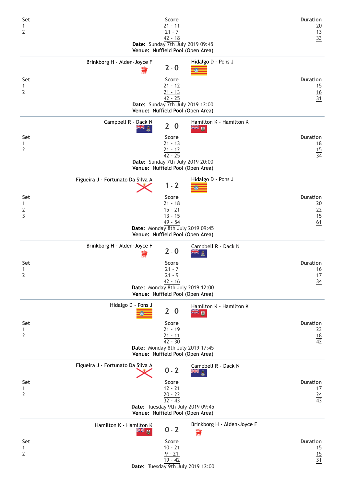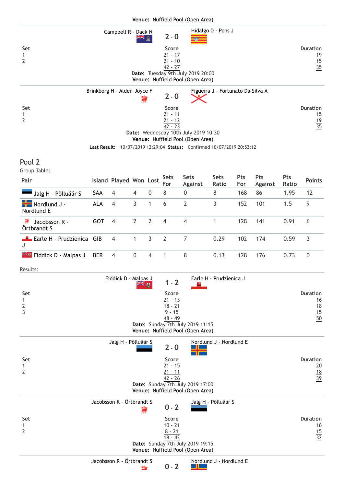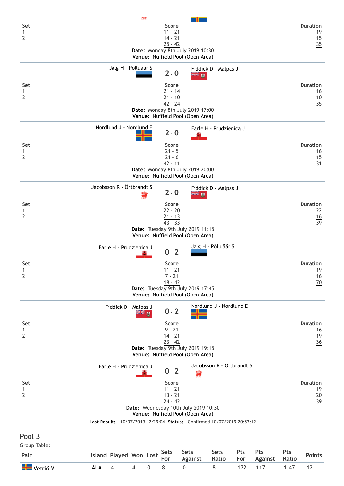| Set<br>1<br>2                  |            |                               | αR       |             | Score<br>$11 - 21$<br>$14 - 21$ |                                                                          |                           |     |                |       | <b>Duration</b><br>19<br>$\frac{15}{35}$ |
|--------------------------------|------------|-------------------------------|----------|-------------|---------------------------------|--------------------------------------------------------------------------|---------------------------|-----|----------------|-------|------------------------------------------|
|                                |            |                               |          |             | $25 - 42$                       | Date: Monday 8th July 2019 10:30<br>Venue: Nuffield Pool (Open Area)     |                           |     |                |       |                                          |
|                                |            | Jalg H - Põlluäär S           |          |             | $2 - 0$                         | ≋ ≫                                                                      | Fiddick D - Malpas J      |     |                |       |                                          |
| Set<br>1                       |            |                               |          |             | Score<br>$21 - 14$              |                                                                          |                           |     |                |       | <b>Duration</b><br>16                    |
| $\overline{2}$                 |            |                               |          |             | $21 - 10$<br>$42 - 24$          |                                                                          |                           |     |                |       | $\frac{10}{35}$                          |
|                                |            |                               |          |             |                                 | Date: Monday 8th July 2019 17:00<br>Venue: Nuffield Pool (Open Area)     |                           |     |                |       |                                          |
|                                |            | Nordlund J - Nordlund E       |          |             | $2 - 0$                         |                                                                          | Earle H - Prudzienica J   |     |                |       |                                          |
| Set<br>1                       |            |                               |          |             | Score<br>$21 - 5$               |                                                                          |                           |     |                |       | <b>Duration</b><br>16                    |
| $\overline{2}$                 |            |                               |          |             | $21 - 6$<br>$42 - 11$           |                                                                          |                           |     |                |       | $\frac{15}{31}$                          |
|                                |            |                               |          |             |                                 | Date: Monday 8th July 2019 20:00<br>Venue: Nuffield Pool (Open Area)     |                           |     |                |       |                                          |
|                                |            | Jacobsson R - Örtbrandt S     |          | 壽           | $2 - 0$                         | W¥ ™                                                                     | Fiddick D - Malpas J      |     |                |       |                                          |
| Set                            |            |                               |          |             | Score<br>$22 - 20$              |                                                                          |                           |     |                |       | <b>Duration</b><br>22                    |
| 1<br>$\overline{2}$            |            |                               |          |             | $21 - 13$<br>$43 - 33$          |                                                                          |                           |     |                |       | $\frac{16}{39}$                          |
|                                |            |                               |          |             |                                 | Date: Tuesday 9th July 2019 11:15<br>Venue: Nuffield Pool (Open Area)    |                           |     |                |       |                                          |
|                                |            | Earle H - Prudzienica J       |          |             | $0 - 2$                         |                                                                          | Jalg H - Põlluäär S       |     |                |       |                                          |
| Set                            |            |                               |          |             | Score<br>$11 - 21$              |                                                                          |                           |     |                |       | <b>Duration</b><br>19                    |
| $\mathbf{1}$<br>$\overline{2}$ |            |                               |          |             | $7 - 21$<br>$18 - 42$           |                                                                          |                           |     |                |       | $\frac{16}{70}$                          |
|                                |            |                               |          |             |                                 | Date: Tuesday 9th July 2019 17:45<br>Venue: Nuffield Pool (Open Area)    |                           |     |                |       |                                          |
|                                |            | Fiddick D - Malpas J          | $m = 10$ |             | $0 - 2$                         |                                                                          | Nordlund J - Nordlund E   |     |                |       |                                          |
| Set<br>$\mathbf{1}$            |            |                               |          |             | Score<br>$9 - 21$               |                                                                          |                           |     |                |       | <b>Duration</b><br>16                    |
| 2                              |            |                               |          |             | $\frac{14 - 21}{23 - 42}$       |                                                                          |                           |     |                |       | $\frac{19}{36}$                          |
|                                |            |                               |          |             |                                 | Date: Tuesday 9th July 2019 19:15<br>Venue: Nuffield Pool (Open Area)    |                           |     |                |       |                                          |
|                                |            | Earle H - Prudzienica J       |          |             | $0 - 2$                         | 濤                                                                        | Jacobsson R - Örtbrandt S |     |                |       |                                          |
| Set                            |            |                               |          |             | Score<br>$11 - 21$              |                                                                          |                           |     |                |       | <b>Duration</b>                          |
| 1<br>2                         |            |                               |          |             | $13 - 21$                       |                                                                          |                           |     |                |       | 19<br>$\frac{20}{39}$                    |
|                                |            |                               |          |             | $24 - 42$                       | Date: Wednesday 10th July 2019 10:30<br>Venue: Nuffield Pool (Open Area) |                           |     |                |       |                                          |
|                                |            |                               |          |             |                                 | Last Result: 10/07/2019 12:29:04 Status: Confirmed 10/07/2019 20:53:12   |                           |     |                |       |                                          |
| Pool 3                         |            |                               |          |             |                                 |                                                                          |                           |     |                |       |                                          |
| Group Table:                   |            |                               |          |             | <b>Sets</b>                     | <b>Sets</b>                                                              | <b>Sets</b>               | Pts | <b>Pts</b>     | Pts   |                                          |
| Pair                           |            | <b>Island Played Won Lost</b> |          |             | For                             | <b>Against</b>                                                           | Ratio                     | For | <b>Against</b> | Ratio | <b>Points</b>                            |
| Vetriö V -                     | <b>ALA</b> | $\overline{4}$                | 4        | $\mathbf 0$ | 8                               | $\boldsymbol{0}$                                                         | 8                         | 172 | 117            | 1.47  | 12                                       |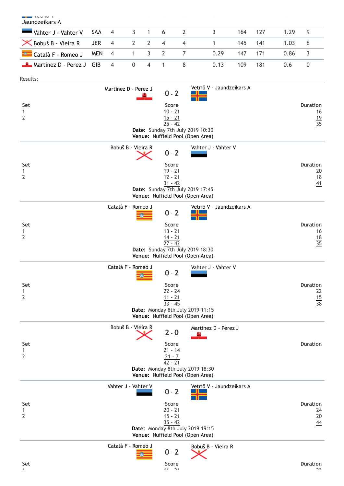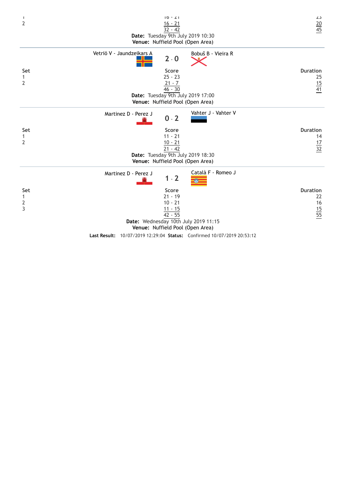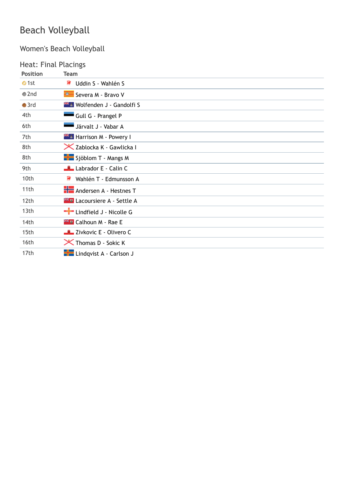# Beach Volleyball

# Women's Beach Volleyball

# Heat: Final Placings

| <b>Position</b>  | <b>Team</b>                               |
|------------------|-------------------------------------------|
| $\bullet$ 1st    | a,<br>Uddin S - Wahlén S                  |
| $\bullet$ 2nd    | Severa M - Bravo V                        |
| $\bullet$ 3rd    | <b>Example 1 - Gandolfi S</b>             |
| 4th              | Gull G - Prangel P                        |
| 6th              | Järvalt J - Vabar A                       |
| 7th              | <b>External Harrison M - Powery I</b>     |
| 8th              | X Zablocka K - Gawlicka I                 |
| 8th              | Sjöblom T - Mangs M                       |
| 9th              | Labrador E - Calin C                      |
| 10th             | 薄<br>Wahlén T - Edmunsson A               |
| 11 <sub>th</sub> | <b>H</b> Andersen A - Hestnes T           |
| 12th             | <b>Example 2</b> Lacoursiere A - Settle A |
| 13th             | $\frac{1}{2}$ Lindfield J - Nicolle G     |
| 14th             | <b>Example 1</b> Calhoun M - Rae E        |
| 15th             | Zivkovic E - Olivero C                    |
| 16th             | X Thomas D - Sokic K                      |
| 17th             | <b>H</b> Lindqvist A - Carlson J          |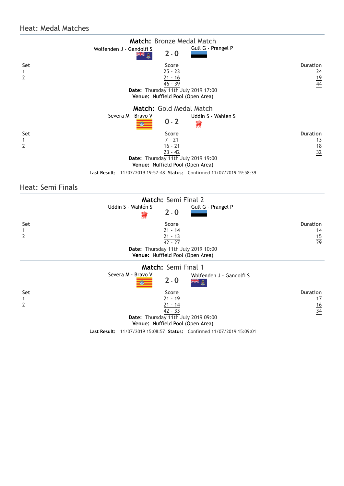#### Heat: Medal Matches

|                | Match: Bronze Medal Match                                                     |                 |
|----------------|-------------------------------------------------------------------------------|-----------------|
|                | Gull G - Prangel P<br>Wolfenden J - Gandolfi S<br>$2 - 0$<br>해 커서             |                 |
| Set            | Score                                                                         | <b>Duration</b> |
| 1              | $25 - 23$                                                                     | 24              |
| $\overline{2}$ | <u>21 - 16</u>                                                                | $\frac{19}{44}$ |
|                | $46 - 39$                                                                     |                 |
|                | Date: Thursday 11th July 2019 17:00                                           |                 |
|                | Venue: Nuffield Pool (Open Area)                                              |                 |
|                | Match: Gold Medal Match                                                       |                 |
|                | Severa M - Bravo V<br>Uddin S - Wahlén S<br>$0 - 2$<br>鷐                      |                 |
| Set            | Score                                                                         | <b>Duration</b> |
| 1              | $7 - 21$                                                                      | 13              |
| 2              | $\frac{16 - 21}{23 - 42}$                                                     | $\frac{18}{32}$ |
|                |                                                                               |                 |
|                | Date: Thursday 11th July 2019 19:00                                           |                 |
|                | Venue: Nuffield Pool (Open Area)                                              |                 |
|                | <b>Last Result:</b> 11/07/2019 19:57:48 Status: Confirmed 11/07/2019 19:58:39 |                 |

Heat: Semi Finals

|                                | Match: Semi Final 2                                                    |                 |
|--------------------------------|------------------------------------------------------------------------|-----------------|
|                                | Uddin S - Wahlén S<br>Gull G - Prangel P<br>$2 - 0$<br>濤               |                 |
| Set                            | Score                                                                  | <b>Duration</b> |
| $\mathbf{1}$<br>$\overline{2}$ | $21 - 14$                                                              | 14              |
|                                | $\frac{21 - 13}{42 - 27}$                                              | $\frac{15}{29}$ |
|                                | Date: Thursday 11th July 2019 10:00                                    |                 |
|                                | Venue: Nuffield Pool (Open Area)                                       |                 |
|                                | Match: Semi Final 1                                                    |                 |
|                                | Severa M - Bravo V<br>Wolfenden J - Gandolfi S<br>$2 - 0$<br>≳⊯ ∂      |                 |
| Set                            | Score                                                                  | <b>Duration</b> |
| $\mathbf{1}$                   | $21 - 19$                                                              | 17              |
| $\overline{2}$                 | $\frac{21 - 14}{42 - 33}$                                              | $\frac{16}{34}$ |
|                                | Date: Thursday 11th July 2019 09:00                                    |                 |
|                                | Venue: Nuffield Pool (Open Area)                                       |                 |
|                                | Last Result: 11/07/2019 15:08:57 Status: Confirmed 11/07/2019 15:09:01 |                 |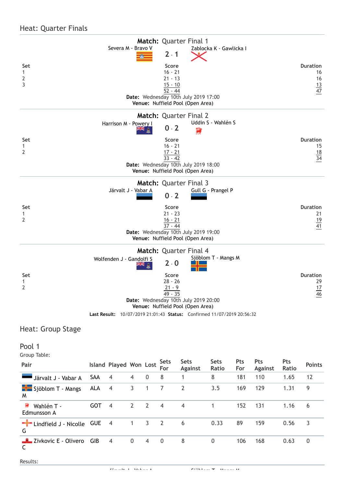#### Heat: Quarter Finals

|                                            | Match: Quarter Final 1                                                                                                                |                                                |
|--------------------------------------------|---------------------------------------------------------------------------------------------------------------------------------------|------------------------------------------------|
|                                            | Severa M - Bravo V<br>Zablocka K - Gawlicka I<br>$2 - 1$                                                                              |                                                |
| Set<br>$\mathbf{1}$<br>$\overline{2}$<br>3 | Score<br>$16 - 21$<br>$21 - 13$<br>$15 - 10$<br>$52 - 44$<br>Date: Wednesday 10th July 2019 17:00<br>Venue: Nuffield Pool (Open Area) | <b>Duration</b><br>16<br>16<br>$\frac{13}{47}$ |
|                                            | <b>Match: Quarter Final 2</b>                                                                                                         |                                                |
|                                            | Uddin S - Wahlén S<br>Harrison M - Powery I<br>$0 - 2$<br>濤                                                                           |                                                |
| Set<br>1<br>$\overline{2}$                 | Score<br>$16 - 21$<br>$\frac{17 - 21}{33 - 42}$<br>Date: Wednesday 10th July 2019 18:00<br>Venue: Nuffield Pool (Open Area)           | <b>Duration</b><br>15<br>$\frac{18}{34}$       |
|                                            | <b>Match: Quarter Final 3</b><br>Järvalt J - Vabar A<br>Gull G - Prangel P                                                            |                                                |
|                                            | $0 - 2$                                                                                                                               |                                                |
| Set<br>$\mathbf{1}$                        | Score<br>$21 - 23$                                                                                                                    | <b>Duration</b><br>21                          |
| 2                                          | $16 - 21$                                                                                                                             | $\frac{19}{41}$                                |
|                                            | $37 - 44$<br>Date: Wednesday 10th July 2019 19:00<br>Venue: Nuffield Pool (Open Area)                                                 |                                                |
|                                            | Match: Quarter Final 4                                                                                                                |                                                |
|                                            | Sjöblom T - Mangs M<br>Wolfenden J - Gandolfi S<br>$2 - 0$                                                                            |                                                |
| Set                                        | Score                                                                                                                                 | <b>Duration</b>                                |
| $\mathbf{1}$<br>2                          | $28 - 26$<br>$21 - 9$                                                                                                                 | 29                                             |
|                                            | 49 - 35<br>Date: Wednesday 10th July 2019 20:00<br>Venue: Nuffield Pool (Open Area)                                                   | $\frac{17}{46}$                                |
|                                            | Last Result: 10/07/2019 21:01:43 Status: Confirmed 11/07/2019 20:56:32                                                                |                                                |
| Heat: Group Stage                          |                                                                                                                                       |                                                |

#### up stage

Pool 1

Group Table:

| Pair                           |            | <b>Island Played Won Lost</b> |              |                | <b>Sets</b><br>For | <b>Sets</b><br><b>Against</b> | <b>Sets</b><br>Ratio | <b>Pts</b><br>For | <b>Pts</b><br><b>Against</b> | <b>Pts</b><br><b>Ratio</b> | <b>Points</b> |
|--------------------------------|------------|-------------------------------|--------------|----------------|--------------------|-------------------------------|----------------------|-------------------|------------------------------|----------------------------|---------------|
| Järvalt J - Vabar A            | SAA        | $\overline{4}$                | 4            | $\mathbf{0}$   | 8                  | 1                             | 8                    | 181               | 110                          | 1.65                       | 12            |
| Sjöblom T - Mangs<br>M         | ALA        | $\overline{4}$                | 3            |                | 7                  | 2                             | 3.5                  | 169               | 129                          | 1.31                       | 9             |
| 薄<br>Wahlén T -<br>Edmunsson A | <b>GOT</b> | $\overline{4}$                | 2            | 2              | $\overline{4}$     | $\overline{4}$                |                      | 152               | 131                          | 1.16                       | 6             |
| Lindfield J - Nicolle<br>G     | <b>GUE</b> | $\overline{4}$                | 1            | 3              | 2                  | 6                             | 0.33                 | 89                | 159                          | 0.56                       | 3             |
| Zivkovic E - Olivero<br>C      | <b>GIB</b> | $\overline{4}$                | $\mathbf{0}$ | $\overline{4}$ | $\mathbf{0}$       | 8                             | $\mathbf{0}$         | 106               | 168                          | 0.63                       | 0             |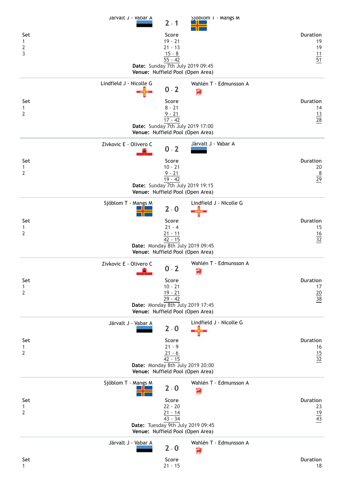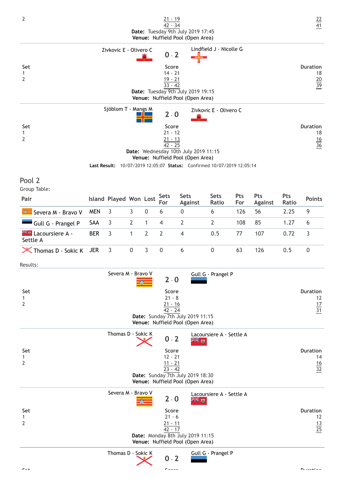| 2                                                 |            |                        |                |   | <u>21 - 19</u><br>42 - 34                                  | Date: Tuesday 9th July 2019 17:45                                            |                                                                        |            |                       |                     | $\frac{22}{41}$                          |
|---------------------------------------------------|------------|------------------------|----------------|---|------------------------------------------------------------|------------------------------------------------------------------------------|------------------------------------------------------------------------|------------|-----------------------|---------------------|------------------------------------------|
|                                                   |            | Zivkovic E - Olivero C |                |   |                                                            | Venue: Nuffield Pool (Open Area)                                             | Lindfield J - Nicolle G                                                |            |                       |                     |                                          |
| Set<br>$\mathbf{1}$<br>$\overline{2}$             |            |                        |                |   | $0 - 2$<br>Score<br>$14 - 21$<br>$19 - 21$<br>$33 - 42$    | Date: Tuesday 9th July 2019 19:15<br>Venue: Nuffield Pool (Open Area)        |                                                                        |            |                       |                     | <b>Duration</b><br>18<br>$\frac{20}{39}$ |
|                                                   |            | Sjöblom T - Mangs M    |                |   | $2 - 0$                                                    |                                                                              | Zivkovic E - Olivero C                                                 |            |                       |                     |                                          |
| Set<br>1<br>$\overline{2}$                        |            |                        |                |   | Score<br>$21 - 12$<br>$\frac{21 - 13}{42 - 25}$            | Date: Wednesday 10th July 2019 11:15<br>Venue: Nuffield Pool (Open Area)     | Last Result: 10/07/2019 12:05:07 Status: Confirmed 10/07/2019 12:05:14 |            |                       |                     | <b>Duration</b><br>18<br>$\frac{16}{36}$ |
| Pool 2<br>Group Table:                            |            |                        |                |   |                                                            |                                                                              |                                                                        |            |                       |                     |                                          |
| Pair                                              |            | Island Played Won Lost |                |   | <b>Sets</b><br>For                                         | <b>Sets</b><br><b>Against</b>                                                | <b>Sets</b><br>Ratio                                                   | Pts<br>For | Pts<br><b>Against</b> | <b>Pts</b><br>Ratio | <b>Points</b>                            |
| Severa M - Bravo V                                | <b>MEN</b> | 3                      | 3              | 0 | 6                                                          | $\boldsymbol{0}$                                                             | 6                                                                      | 126        | 56                    | 2.25                | 9                                        |
| Gull G - Prangel P                                | SAA        | 3                      | $\overline{2}$ | 1 | 4                                                          | 2                                                                            | $\overline{2}$                                                         | 108        | 85                    | 1.27                | 6                                        |
| <b>Example 2 Lacoursiere A -</b><br>Settle A      | <b>BER</b> | 3                      | 1              | 2 | $\overline{2}$                                             | 4                                                                            | 0.5                                                                    | 77         | 107                   | 0.72                | 3                                        |
| X Thomas D - Sokic K                              | <b>JER</b> | 3                      | $\pmb{0}$      | 3 | 0                                                          | 6                                                                            | 0                                                                      | 63         | 126                   | 0.5                 | $\boldsymbol{0}$                         |
| Results:<br>Set<br>$\mathbf{1}$<br>$\overline{2}$ |            | Severa M - Bravo V     |                |   | $2 - 0$<br>Score<br>$21 - 8$<br>$21 - 16$<br>42 - 24       | Date: Sunday 7th July 2019 11:15                                             | Gull G - Prangel P                                                     |            |                       |                     | <b>Duration</b><br>12<br>$\frac{17}{31}$ |
|                                                   |            | Thomas D - Sokic K     |                |   |                                                            | Venue: Nuffield Pool (Open Area)                                             | Lacoursiere A - Settle A                                               |            |                       |                     |                                          |
| Set<br>$\mathbf{1}$<br>$\overline{2}$             |            |                        |                |   | $0 - 2$<br>Score<br>$12 - 21$<br>$\frac{11 - 21}{23 - 42}$ | ≫⊯ ™<br>Date: Sunday 7th July 2019 18:30<br>Venue: Nuffield Pool (Open Area) |                                                                        |            |                       |                     | <b>Duration</b><br>14<br>$\frac{16}{32}$ |
| Set<br>1<br>$\overline{2}$                        |            | Severa M - Bravo V     |                |   | $2 - 0$<br>Score<br>$21 - 6$<br>$21 - 11$<br>$42 - 17$     | ≍⊭ ਅ<br>Date: Monday 8th July 2019 11:15<br>Venue: Nuffield Pool (Open Area) | Lacoursiere A - Settle A                                               |            |                       |                     | <b>Duration</b><br>12<br>$\frac{13}{25}$ |
|                                                   |            | Thomas D - Sokic K     |                |   | $0 - 2$                                                    |                                                                              | Gull G - Prangel P                                                     |            |                       |                     |                                          |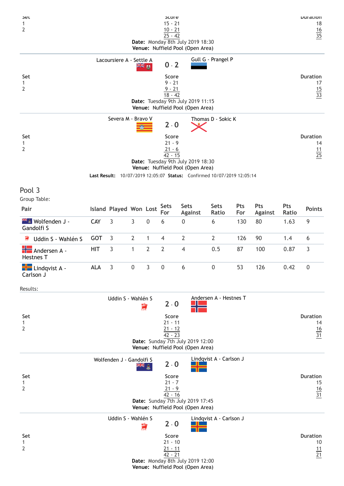| Set<br>$\mathbf{1}$<br>$\overline{2}$           |            |                               |                |      | pcore<br>$15 - 21$<br>$10 - 21$<br>$25 - 42$               | Date: Monday 8th July 2019 18:30<br>Venue: Nuffield Pool (Open Area)                                                                            |                         |                   |                       |                     | Duration<br>18<br>$\frac{16}{35}$        |
|-------------------------------------------------|------------|-------------------------------|----------------|------|------------------------------------------------------------|-------------------------------------------------------------------------------------------------------------------------------------------------|-------------------------|-------------------|-----------------------|---------------------|------------------------------------------|
|                                                 |            | Lacoursiere A - Settle A      |                |      |                                                            |                                                                                                                                                 | Gull G - Prangel P      |                   |                       |                     |                                          |
| Set<br>$\mathbf{1}$<br>$\overline{2}$           |            |                               |                | ma ⊯ | $0 - 2$<br>Score<br>$9 - 21$<br>$9 - 21$<br>$18 - 42$      | Date: Tuesday 9th July 2019 11:15<br>Venue: Nuffield Pool (Open Area)                                                                           |                         |                   |                       |                     | <b>Duration</b><br>17<br>$\frac{15}{33}$ |
| Set<br>$\mathbf{1}$<br>$\overline{2}$           |            | Severa M - Bravo V            |                |      | $2 - 0$<br>Score<br>$21 - 9$<br>$21 - 6$<br>$42 - 15$      | Date: Tuesday 9th July 2019 18:30<br>Venue: Nuffield Pool (Open Area)<br>Last Result: 10/07/2019 12:05:07 Status: Confirmed 10/07/2019 12:05:14 | Thomas D - Sokic K      |                   |                       |                     | <b>Duration</b><br>14<br>$\frac{11}{25}$ |
| Pool 3<br>Group Table:                          |            |                               |                |      |                                                            |                                                                                                                                                 |                         |                   |                       |                     |                                          |
| Pair                                            |            | <b>Island Played Won Lost</b> |                |      | <b>Sets</b><br>For                                         | <b>Sets</b><br><b>Against</b>                                                                                                                   | <b>Sets</b><br>Ratio    | <b>Pts</b><br>For | Pts<br><b>Against</b> | <b>Pts</b><br>Ratio | <b>Points</b>                            |
| <b>** 8</b> Wolfenden J -<br>Gandolfi S         | CAY        | 3                             | 3              | 0    | 6                                                          | 0                                                                                                                                               | 6                       | 130               | 80                    | 1.63                | 9                                        |
| Uddin S - Wahlén S<br>薄                         | <b>GOT</b> | 3                             | $\overline{2}$ | 1    | 4                                                          | $\overline{2}$                                                                                                                                  | $\overline{2}$          | 126               | 90                    | 1.4                 | 6                                        |
| Andersen A -<br><b>Hestnes T</b>                | <b>HIT</b> | 3                             | 1              | 2    | $\overline{2}$                                             | $\overline{4}$                                                                                                                                  | 0.5                     | 87                | 100                   | 0.87                | 3                                        |
| $\frac{1}{\sqrt{2}}$ Lindqvist A -<br>Carlson J | <b>ALA</b> | 3                             | 0              | 3    | 0                                                          | 6                                                                                                                                               | 0                       | 53                | 126                   | 0.42                | $\boldsymbol{0}$                         |
| Results:                                        |            |                               |                |      |                                                            |                                                                                                                                                 |                         |                   |                       |                     |                                          |
| Set<br>1<br>$\overline{2}$                      |            | Uddin S - Wahlén S            |                | 壽    | $2 - 0$<br>Score<br>$21 - 11$<br>$\frac{21 - 12}{42 - 23}$ | Date: Sunday 7th July 2019 12:00<br>Venue: Nuffield Pool (Open Area)                                                                            | Andersen A - Hestnes T  |                   |                       |                     | <b>Duration</b><br>14<br>$\frac{16}{31}$ |
| Set<br>$\mathbf{1}$<br>$\overline{2}$           |            | Wolfenden J - Gandolfi S      |                | ₩,   | $2 - 0$<br>Score<br>$21 - 7$<br>$21 - 9$<br>$42 - 16$      | Date: Sunday 7th July 2019 17:45<br>Venue: Nuffield Pool (Open Area)                                                                            | Lindqvist A - Carlson J |                   |                       |                     | <b>Duration</b><br>15<br>$\frac{16}{31}$ |
| Set<br>$\mathbf{1}$<br>$\overline{2}$           |            | Uddin S - Wahlén S            |                | 意    | $2 - 0$<br>Score<br>$21 - 10$<br>$21 - 11$<br>$42 - 21$    | Date: Monday 8th July 2019 12:00<br>Venue: Nuffield Pool (Open Area)                                                                            | Lindqvist A - Carlson J |                   |                       |                     | <b>Duration</b><br>10<br>$\frac{11}{21}$ |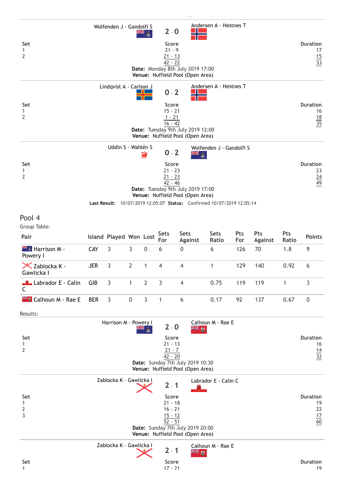| Set<br>$\mathbf{1}$<br>$\overline{2}$        |            | Wolfenden J - Gandolfi S      |                |                | $2 - 0$<br>Score<br>$21 - 9$<br>$21 - 13$<br>$42 - 22$               | Date: Monday 8th July 2019 17:00<br>Venue: Nuffield Pool (Open Area)                                                                                      | Andersen A - Hestnes T   |            |                       |              | <b>Duration</b><br>17<br>$\frac{15}{33}$       |
|----------------------------------------------|------------|-------------------------------|----------------|----------------|----------------------------------------------------------------------|-----------------------------------------------------------------------------------------------------------------------------------------------------------|--------------------------|------------|-----------------------|--------------|------------------------------------------------|
| Set<br>1<br>$\overline{2}$                   |            | Lindqvist A - Carlson J       |                |                | $0 - 2$<br>Score<br>$15 - 21$<br>$1 - 21$<br>$16 - 42$               | Date: Tuesday 9th July 2019 12:00<br>Venue: Nuffield Pool (Open Area)                                                                                     | Andersen A - Hestnes T   |            |                       |              | <b>Duration</b><br>16<br>$\frac{18}{35}$       |
| Set<br>$\mathbf{1}$<br>$\overline{2}$        |            | Uddin S - Wahlén S            |                | 濤              | $0 - 2$<br>Score<br>$21 - 23$<br>$21 - 23$<br>$42 - 46$              | Ж<br>â<br>Date: Tuesday 9th July 2019 17:00<br>Venue: Nuffield Pool (Open Area)<br>Last Result: 10/07/2019 12:05:07 Status: Confirmed 10/07/2019 12:05:14 | Wolfenden J - Gandolfi S |            |                       |              | <b>Duration</b><br>23<br>$\frac{24}{49}$       |
| Pool 4<br>Group Table:                       |            |                               |                |                |                                                                      |                                                                                                                                                           |                          |            |                       |              |                                                |
| Pair                                         |            | <b>Island Played Won Lost</b> |                |                | <b>Sets</b><br>For                                                   | <b>Sets</b><br><b>Against</b>                                                                                                                             | <b>Sets</b><br>Ratio     | Pts<br>For | Pts<br><b>Against</b> | Pts<br>Ratio | <b>Points</b>                                  |
| Harrison M -<br>Powery I                     | CAY        | 3                             | $\mathbf{3}$   | $\mathbf 0$    | 6                                                                    | $\mathbf 0$                                                                                                                                               | 6                        | 126        | 70                    | 1.8          | 9                                              |
| $\mathsf{\times}$ Zablocka K -<br>Gawlicka I | <b>JER</b> | 3                             | $\overline{2}$ | $\mathbf{1}$   | 4                                                                    | $\overline{4}$                                                                                                                                            | $\mathbf{1}$             | 129        | 140                   | 0.92         | 6                                              |
| Labrador E - Calin<br>$\mathsf{C}$           | GIB        | 3                             | 1              | $\overline{2}$ | 3                                                                    | 4                                                                                                                                                         | 0.75                     | 119        | 119                   | 1            | 3                                              |
| <b>Example 1</b> Calhoun M - Rae E           | <b>BER</b> | 3                             | 0              | 3              | $\mathbf{1}$                                                         | 6                                                                                                                                                         | 0.17                     | 92         | 137                   | 0.67         | $\pmb{0}$                                      |
| Results:                                     |            |                               |                |                |                                                                      |                                                                                                                                                           |                          |            |                       |              |                                                |
| Set<br>1<br>$\overline{2}$                   |            | Harrison M - Powery I         |                |                | $2 - 0$<br>Score<br>$21 - 13$<br>$21 - 7$<br>$42 - 20$               | W ≫k<br>Date: Sunday 7th July 2019 10:30<br>Venue: Nuffield Pool (Open Area)                                                                              | Calhoun M - Rae E        |            |                       |              | <b>Duration</b><br>16<br>$\frac{14}{32}$       |
| Set<br>1<br>2<br>3                           |            | Zablocka K - Gawlicka I       |                |                | $2 - 1$<br>Score<br>$21 - 18$<br>$16 - 21$<br>$15 - 12$<br>$52 - 51$ | Date: Sunday 7th July 2019 20:00<br>Venue: Nuffield Pool (Open Area)                                                                                      | Labrador E - Calin C     |            |                       |              | <b>Duration</b><br>19<br>22<br>$\frac{17}{60}$ |
|                                              |            | Zablocka K - Gawlicka I       |                |                | $2 - 1$                                                              | a⊯ <sup>m</sup>                                                                                                                                           | Calhoun M - Rae E        |            |                       |              |                                                |
| Set                                          |            |                               |                |                | Score                                                                |                                                                                                                                                           |                          |            |                       |              | <b>Duration</b>                                |

1 1  $17 - 21$  19

 $\hat{\mathcal{L}}$